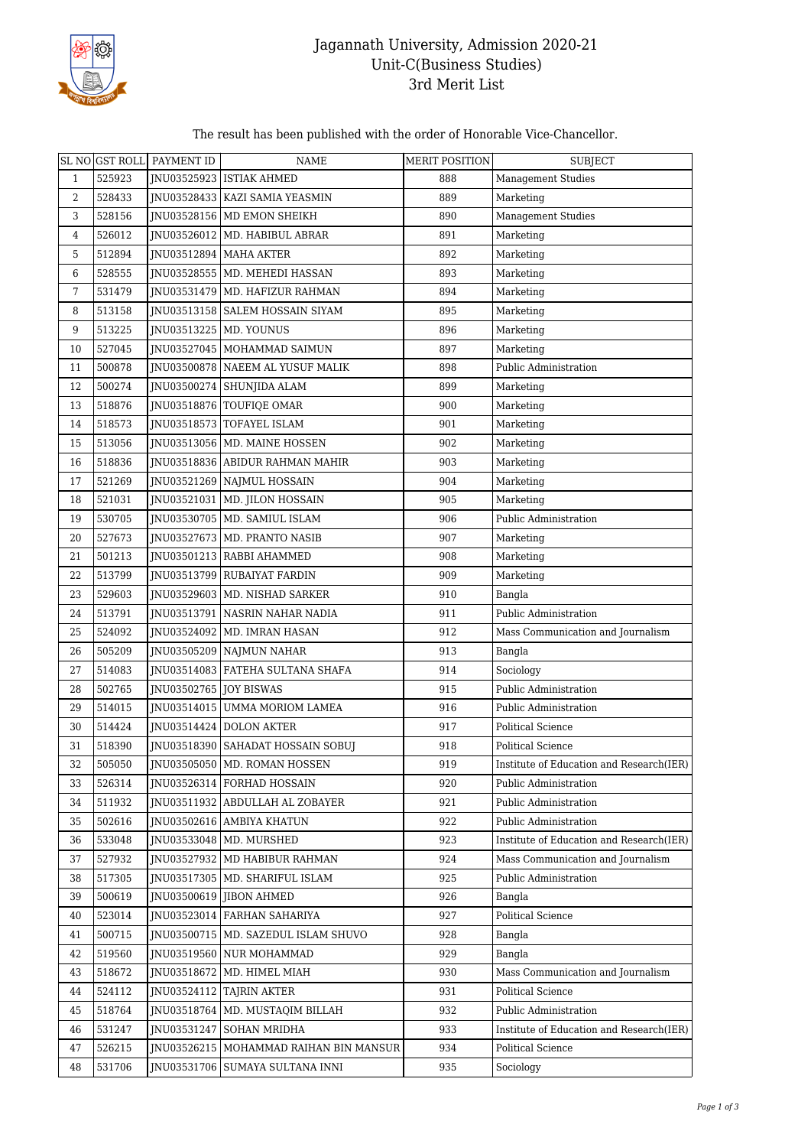

## Jagannath University, Admission 2020-21 Unit-C(Business Studies) 3rd Merit List

## The result has been published with the order of Honorable Vice-Chancellor.

|                |        | SL NO GST ROLL PAYMENT ID | NAME                                     | <b>MERIT POSITION</b> | <b>SUBJECT</b>                           |
|----------------|--------|---------------------------|------------------------------------------|-----------------------|------------------------------------------|
| $\mathbf{1}$   | 525923 |                           | INU03525923 ISTIAK AHMED                 | 888                   | <b>Management Studies</b>                |
| 2              | 528433 |                           | JNU03528433   KAZI SAMIA YEASMIN         | 889                   | Marketing                                |
| 3              | 528156 |                           | JNU03528156   MD EMON SHEIKH             | 890                   | <b>Management Studies</b>                |
| $\overline{4}$ | 526012 |                           | JNU03526012   MD. HABIBUL ABRAR          | 891                   | Marketing                                |
| 5              | 512894 |                           | JNU03512894   MAHA AKTER                 | 892                   | Marketing                                |
| 6              | 528555 |                           | JNU03528555   MD. MEHEDI HASSAN          | 893                   | Marketing                                |
| 7              | 531479 |                           | JNU03531479   MD. HAFIZUR RAHMAN         | 894                   | Marketing                                |
| 8              | 513158 |                           | JNU03513158   SALEM HOSSAIN SIYAM        | 895                   | Marketing                                |
| $9\,$          | 513225 |                           | JNU03513225   MD. YOUNUS                 | 896                   | Marketing                                |
| 10             | 527045 |                           | JNU03527045   MOHAMMAD SAIMUN            | 897                   | Marketing                                |
| 11             | 500878 |                           | JNU03500878 NAEEM AL YUSUF MALIK         | 898                   | Public Administration                    |
| 12             | 500274 |                           | JNU03500274   SHUNJIDA ALAM              | 899                   | Marketing                                |
| 13             | 518876 |                           | JNU03518876 TOUFIQE OMAR                 | 900                   | Marketing                                |
| 14             | 518573 |                           | INU03518573 TOFAYEL ISLAM                | 901                   | Marketing                                |
| 15             | 513056 |                           | JNU03513056   MD. MAINE HOSSEN           | 902                   | Marketing                                |
| 16             | 518836 |                           | JNU03518836 ABIDUR RAHMAN MAHIR          | 903                   | Marketing                                |
| $17$           | 521269 |                           | JNU03521269   NAJMUL HOSSAIN             | 904                   | Marketing                                |
| 18             | 521031 |                           | JNU03521031   MD. JILON HOSSAIN          | 905                   | Marketing                                |
| 19             | 530705 |                           | JNU03530705   MD. SAMIUL ISLAM           | 906                   | Public Administration                    |
| 20             | 527673 |                           | JNU03527673   MD. PRANTO NASIB           | 907                   | Marketing                                |
| 21             | 501213 |                           | JNU03501213 RABBI AHAMMED                | 908                   | Marketing                                |
| 22             | 513799 |                           | JNU03513799 RUBAIYAT FARDIN              | 909                   | Marketing                                |
| 23             | 529603 |                           | JNU03529603   MD. NISHAD SARKER          | 910                   | Bangla                                   |
| 24             | 513791 |                           | JNU03513791 NASRIN NAHAR NADIA           | 911                   | Public Administration                    |
| 25             | 524092 |                           | JNU03524092   MD. IMRAN HASAN            | 912                   | Mass Communication and Journalism        |
| 26             | 505209 |                           | JNU03505209 NAJMUN NAHAR                 | 913                   | Bangla                                   |
| 27             | 514083 |                           | JNU03514083   FATEHA SULTANA SHAFA       | 914                   | Sociology                                |
| 28             | 502765 | JNU03502765 JOY BISWAS    |                                          | 915                   | Public Administration                    |
| 29             | 514015 |                           | JNU03514015 UMMA MORIOM LAMEA            | 916                   | Public Administration                    |
| 30             | 514424 |                           | JNU03514424 DOLON AKTER                  | 917                   | <b>Political Science</b>                 |
| 31             | 518390 |                           | JNU03518390   SAHADAT HOSSAIN SOBUJ      | 918                   | Political Science                        |
| 32             | 505050 |                           | JNU03505050 MD. ROMAN HOSSEN             | 919                   | Institute of Education and Research(IER) |
| 33             | 526314 |                           | JNU03526314 FORHAD HOSSAIN               | 920                   | Public Administration                    |
| 34             | 511932 |                           | INU03511932 ABDULLAH AL ZOBAYER          | 921                   | Public Administration                    |
| 35             | 502616 |                           | JNU03502616   AMBIYA KHATUN              | 922                   | Public Administration                    |
| 36             | 533048 |                           | JNU03533048   MD. MURSHED                | 923                   | Institute of Education and Research(IER) |
| 37             | 527932 |                           | INU03527932 MD HABIBUR RAHMAN            | 924                   | Mass Communication and Journalism        |
| 38             | 517305 |                           | JNU03517305   MD. SHARIFUL ISLAM         | 925                   | Public Administration                    |
| 39             | 500619 |                           | JNU03500619 JIBON AHMED                  | 926                   | Bangla                                   |
| 40             | 523014 |                           | INU03523014 FARHAN SAHARIYA              | 927                   | Political Science                        |
| 41             | 500715 |                           | JNU03500715   MD. SAZEDUL ISLAM SHUVO    | 928                   | Bangla                                   |
| 42             | 519560 |                           | JNU03519560 NUR MOHAMMAD                 | 929                   | Bangla                                   |
| 43             | 518672 |                           | JNU03518672   MD. HIMEL MIAH             | 930                   | Mass Communication and Journalism        |
| 44             | 524112 |                           | JNU03524112   TAJRIN AKTER               | 931                   | Political Science                        |
| 45             | 518764 |                           | JNU03518764   MD. MUSTAQIM BILLAH        | 932                   | Public Administration                    |
| 46             | 531247 | JNU03531247               | SOHAN MRIDHA                             | 933                   | Institute of Education and Research(IER) |
| 47             | 526215 |                           | JNU03526215   MOHAMMAD RAIHAN BIN MANSUR | 934                   | <b>Political Science</b>                 |
| 48             | 531706 |                           | JNU03531706   SUMAYA SULTANA INNI        | 935                   | Sociology                                |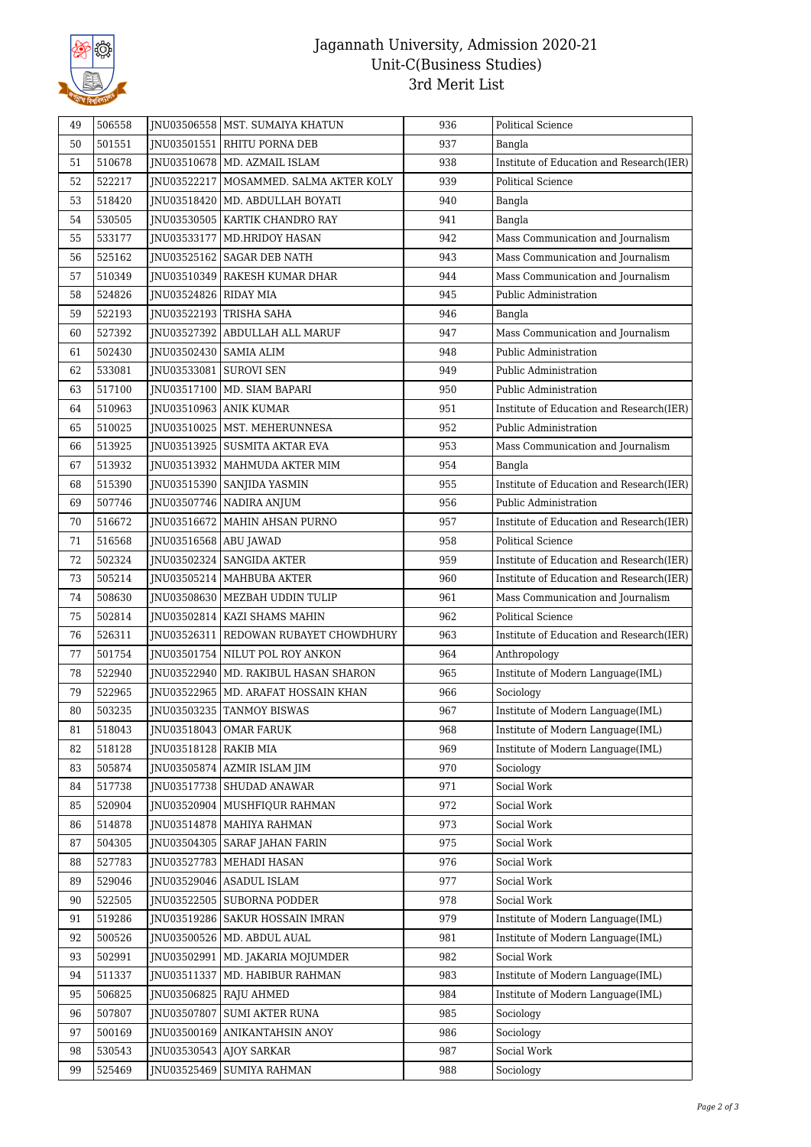

## Jagannath University, Admission 2020-21 Unit-C(Business Studies) 3rd Merit List

| 49 | 506558 |                          | JNU03506558   MST. SUMAIYA KHATUN      | 936 | <b>Political Science</b>                 |
|----|--------|--------------------------|----------------------------------------|-----|------------------------------------------|
| 50 | 501551 |                          | INU03501551 RHITU PORNA DEB            | 937 | Bangla                                   |
| 51 | 510678 |                          | JNU03510678   MD. AZMAIL ISLAM         | 938 | Institute of Education and Research(IER) |
| 52 | 522217 |                          | JNU03522217 MOSAMMED. SALMA AKTER KOLY | 939 | Political Science                        |
| 53 | 518420 |                          | JNU03518420   MD. ABDULLAH BOYATI      | 940 | Bangla                                   |
| 54 | 530505 |                          | JNU03530505   KARTIK CHANDRO RAY       | 941 | Bangla                                   |
| 55 | 533177 |                          | JNU03533177   MD.HRIDOY HASAN          | 942 | Mass Communication and Journalism        |
| 56 | 525162 |                          | JNU03525162 SAGAR DEB NATH             | 943 | Mass Communication and Journalism        |
| 57 | 510349 |                          | JNU03510349 RAKESH KUMAR DHAR          | 944 | Mass Communication and Journalism        |
| 58 | 524826 | JNU03524826   RIDAY MIA  |                                        | 945 | Public Administration                    |
| 59 | 522193 |                          | INU03522193 TRISHA SAHA                | 946 | Bangla                                   |
| 60 | 527392 |                          | JNU03527392 ABDULLAH ALL MARUF         | 947 | Mass Communication and Journalism        |
| 61 | 502430 | JNU03502430   SAMIA ALIM |                                        | 948 | Public Administration                    |
| 62 | 533081 | JNU03533081 SUROVI SEN   |                                        | 949 | Public Administration                    |
| 63 | 517100 |                          | JNU03517100   MD. SIAM BAPARI          | 950 | Public Administration                    |
| 64 | 510963 |                          | JNU03510963 ANIK KUMAR                 | 951 | Institute of Education and Research(IER) |
| 65 | 510025 |                          | INU03510025   MST. MEHERUNNESA         | 952 | Public Administration                    |
| 66 | 513925 |                          | INU03513925 SUSMITA AKTAR EVA          | 953 | Mass Communication and Journalism        |
| 67 | 513932 |                          | INU03513932   MAHMUDA AKTER MIM        | 954 | Bangla                                   |
| 68 | 515390 |                          | JNU03515390 SANJIDA YASMIN             | 955 | Institute of Education and Research(IER) |
| 69 | 507746 |                          | INU03507746 NADIRA ANJUM               | 956 | Public Administration                    |
| 70 | 516672 |                          | JNU03516672   MAHIN AHSAN PURNO        | 957 | Institute of Education and Research(IER) |
| 71 | 516568 | JNU03516568   ABU JAWAD  |                                        | 958 | Political Science                        |
| 72 | 502324 |                          | JNU03502324   SANGIDA AKTER            | 959 | Institute of Education and Research(IER) |
| 73 | 505214 |                          | JNU03505214   MAHBUBA AKTER            | 960 | Institute of Education and Research(IER) |
| 74 | 508630 |                          | JNU03508630 MEZBAH UDDIN TULIP         | 961 | Mass Communication and Journalism        |
| 75 | 502814 |                          | JNU03502814   KAZI SHAMS MAHIN         | 962 | Political Science                        |
| 76 | 526311 |                          | JNU03526311 REDOWAN RUBAYET CHOWDHURY  | 963 | Institute of Education and Research(IER) |
| 77 | 501754 |                          | INU03501754 NILUT POL ROY ANKON        | 964 | Anthropology                             |
| 78 | 522940 |                          | JNU03522940   MD. RAKIBUL HASAN SHARON | 965 | Institute of Modern Language(IML)        |
| 79 | 522965 |                          | JNU03522965   MD. ARAFAT HOSSAIN KHAN  | 966 | Sociology                                |
| 80 | 503235 |                          | JNU03503235 TANMOY BISWAS              | 967 | Institute of Modern Language(IML)        |
| 81 | 518043 |                          | JNU03518043 OMAR FARUK                 | 968 | Institute of Modern Language(IML)        |
| 82 | 518128 | JNU03518128   RAKIB MIA  |                                        | 969 | Institute of Modern Language(IML)        |
| 83 | 505874 |                          | JNU03505874 AZMIR ISLAM JIM            | 970 | Sociology                                |
| 84 | 517738 |                          | JNU03517738 SHUDAD ANAWAR              | 971 | Social Work                              |
| 85 | 520904 |                          | JNU03520904   MUSHFIQUR RAHMAN         | 972 | Social Work                              |
| 86 | 514878 |                          | JNU03514878   MAHIYA RAHMAN            | 973 | Social Work                              |
| 87 | 504305 |                          | <b>INU03504305 SARAF JAHAN FARIN</b>   | 975 | Social Work                              |
| 88 | 527783 |                          | JNU03527783   MEHADI HASAN             | 976 | Social Work                              |
| 89 | 529046 |                          | JNU03529046 ASADUL ISLAM               | 977 | Social Work                              |
| 90 | 522505 |                          | JNU03522505 SUBORNA PODDER             | 978 | Social Work                              |
| 91 | 519286 |                          | JNU03519286   SAKUR HOSSAIN IMRAN      | 979 | Institute of Modern Language(IML)        |
| 92 | 500526 |                          | JNU03500526   MD. ABDUL AUAL           | 981 | Institute of Modern Language(IML)        |
| 93 | 502991 |                          | JNU03502991   MD. JAKARIA MOJUMDER     | 982 | Social Work                              |
| 94 | 511337 | JNU03511337              | MD. HABIBUR RAHMAN                     | 983 | Institute of Modern Language(IML)        |
| 95 | 506825 | JNU03506825              | <b>RAJU AHMED</b>                      | 984 | Institute of Modern Language(IML)        |
| 96 | 507807 | JNU03507807              | SUMI AKTER RUNA                        | 985 | Sociology                                |
| 97 | 500169 |                          | JNU03500169 ANIKANTAHSIN ANOY          | 986 | Sociology                                |
| 98 | 530543 |                          | JNU03530543 AJOY SARKAR                | 987 | Social Work                              |
| 99 | 525469 |                          | JNU03525469   SUMIYA RAHMAN            | 988 | Sociology                                |
|    |        |                          |                                        |     |                                          |